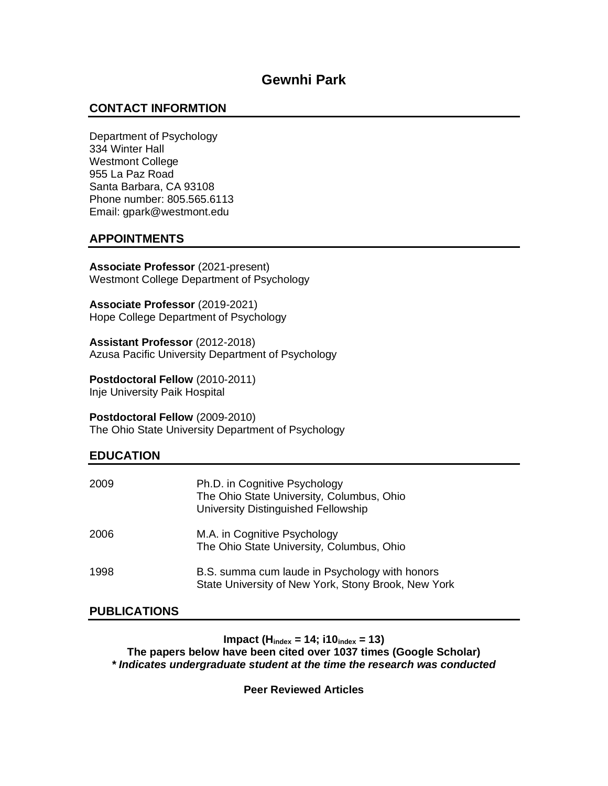# **CONTACT INFORMTION**

Department of Psychology 334 Winter Hall Westmont College 955 La Paz Road Santa Barbara, CA 93108 Phone number: 805.565.6113 Email: gpark@westmont.edu

# **APPOINTMENTS**

**Associate Professor** (2021-present) Westmont College Department of Psychology

**Associate Professor** (2019-2021) Hope College Department of Psychology

**Assistant Professor** (2012-2018) Azusa Pacific University Department of Psychology

**Postdoctoral Fellow** (2010-2011) Inje University Paik Hospital

**Postdoctoral Fellow** (2009-2010) The Ohio State University Department of Psychology

# **EDUCATION**

| 2009 | Ph.D. in Cognitive Psychology<br>The Ohio State University, Columbus, Ohio<br>University Distinguished Fellowship |
|------|-------------------------------------------------------------------------------------------------------------------|
| 2006 | M.A. in Cognitive Psychology<br>The Ohio State University, Columbus, Ohio                                         |
| 1998 | B.S. summa cum laude in Psychology with honors<br>State University of New York, Stony Brook, New York             |

## **PUBLICATIONS**

**Impact (Hindex = 14; i10index = 13)**

**The papers below have been cited over 1037 times (Google Scholar)** *\* Indicates undergraduate student at the time the research was conducted*

**Peer Reviewed Articles**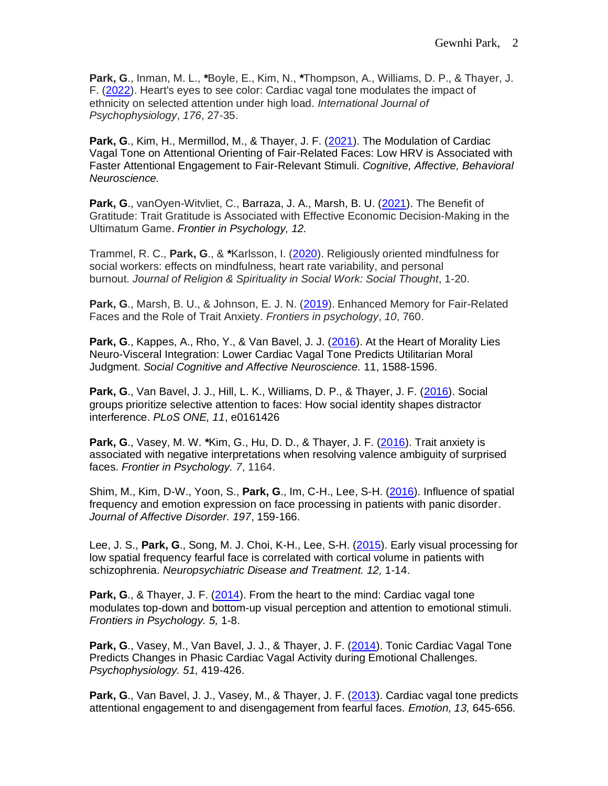**Park, G**., Inman, M. L., *\**Boyle, E., Kim, N., *\**Thompson, A., Williams, D. P., & Thayer, J. F. [\(2022\)](https://www.researchgate.net/publication/359355326_Heart%27s_eyes_to_see_color_Cardiac_vagal_tone_modulates_the_impact_of_ethnicity_on_selected_attention_under_high_load). Heart's eyes to see color: Cardiac vagal tone modulates the impact of ethnicity on selected attention under high load. *International Journal of Psychophysiology*, *176*, 27-35.

**Park, G**., Kim, H., Mermillod, M., & Thayer, J. F. [\(2021\)](https://link.springer.com/article/10.3758/s13415-021-00954-1). The Modulation of Cardiac Vagal Tone on Attentional Orienting of Fair-Related Faces: Low HRV is Associated with Faster Attentional Engagement to Fair-Relevant Stimuli. *Cognitive, Affective, Behavioral Neuroscience.*

**Park, G**., vanOyen-Witvliet, C., Barraza, J. A., Marsh, B. U. [\(2021\)](https://www.ncbi.nlm.nih.gov/pmc/articles/PMC8093863/). The Benefit of Gratitude: Trait Gratitude is Associated with Effective Economic Decision-Making in the Ultimatum Game. *Frontier in Psychology, 12.*

Trammel, R. C., **Park, G**., & *\**Karlsson, I. [\(2020\)](https://www.tandfonline.com/doi/abs/10.1080/15426432.2020.1818358). Religiously oriented mindfulness for social workers: effects on mindfulness, heart rate variability, and personal burnout. *Journal of Religion & Spirituality in Social Work: Social Thought*, 1-20.

**Park, G**., Marsh, B. U., & Johnson, E. J. N. [\(2019\)](https://www.frontiersin.org/articles/10.3389/fpsyg.2019.00760/full). Enhanced Memory for Fair-Related Faces and the Role of Trait Anxiety. *Frontiers in psychology*, *10*, 760.

**Park, G**., Kappes, A., Rho, Y., & Van Bavel, J. J. [\(2016\)](https://academic.oup.com/scan/article/11/10/1588/2413939/At-the-heart-of-morality-lies-neuro-visceral). At the Heart of Morality Lies Neuro-Visceral Integration: Lower Cardiac Vagal Tone Predicts Utilitarian Moral Judgment. *Social Cognitive and Affective Neuroscience.* 11, 1588-1596.

**Park, G**., Van Bavel, J. J., Hill, L. K., Williams, D. P., & Thayer, J. F. [\(2016\)](http://journals.plos.org/plosone/article?id=10.1371/journal.pone.0161426). Social groups prioritize selective attention to faces: How social identity shapes distractor interference. *PLoS ONE, 11*, e0161426

**Park, G**., Vasey, M. W. *\**Kim, G., Hu, D. D., & Thayer, J. F. [\(2016\)](https://www.frontiersin.org/articles/10.3389/fpsyg.2016.01164/full). Trait anxiety is associated with negative interpretations when resolving valence ambiguity of surprised faces. *Frontier in Psychology. 7*, 1164.

Shim, M., Kim, D-W., Yoon, S., **Park, G**., Im, C-H., Lee, S-H. [\(2016\)](http://www.sciencedirect.com/science/article/pii/S0165032715312507). Influence of spatial frequency and emotion expression on face processing in patients with panic disorder. *Journal of Affective Disorder. 197*, 159-166.

Lee, J. S., **Park, G**., Song, M. J. Choi, K-H., Lee, S-H. [\(2015\)](https://www.ncbi.nlm.nih.gov/pmc/articles/PMC4694689/). Early visual processing for low spatial frequency fearful face is correlated with cortical volume in patients with schizophrenia. *Neuropsychiatric Disease and Treatment. 12,* 1-14.

**Park, G**., & Thayer, J. F. [\(2014\)](https://www.ncbi.nlm.nih.gov/pmc/articles/PMC4013470/). From the heart to the mind: Cardiac vagal tone modulates top-down and bottom-up visual perception and attention to emotional stimuli. *Frontiers in Psychology. 5,* 1-8.

**Park, G**., Vasey, M., Van Bavel, J. J., & Thayer, J. F. [\(2014\)](http://onlinelibrary.wiley.com/doi/10.1111/psyp.12186/full). Tonic Cardiac Vagal Tone Predicts Changes in Phasic Cardiac Vagal Activity during Emotional Challenges. *Psychophysiology. 51,* 419-426.

**Park, G**., Van Bavel, J. J., Vasey, M., & Thayer, J. F. [\(2013\)](https://www.researchgate.net/profile/Gewnhi_Park/publication/255692066_Cardiac_Vagal_Tone_Predicts_Attentional_Engagement_To_and_Disengagement_From_Fearful_Faces/links/00b7d5206a560be11e000000.pdf). Cardiac vagal tone predicts attentional engagement to and disengagement from fearful faces. *Emotion, 13,* 645-656*.*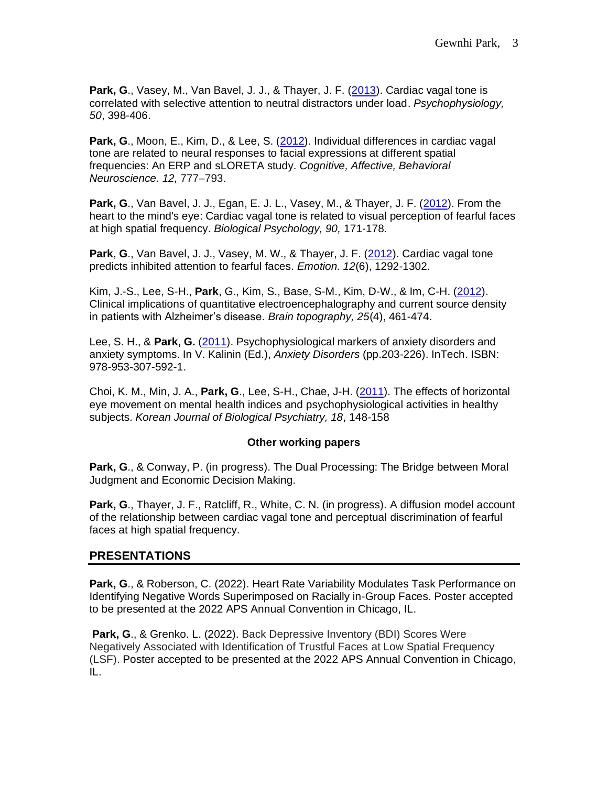**Park, G**., Vasey, M., Van Bavel, J. J., & Thayer, J. F. [\(2013\)](http://onlinelibrary.wiley.com/doi/10.1111/psyp.12029/full). Cardiac vagal tone is correlated with selective attention to neutral distractors under load. *Psychophysiology, 50*, 398-406.

**Park, G**., Moon, E., Kim, D., & Lee, S. [\(2012\)](https://link.springer.com/article/10.3758/s13415-012-0111-0). Individual differences in cardiac vagal tone are related to neural responses to facial expressions at different spatial frequencies: An ERP and sLORETA study. *Cognitive, Affective, Behavioral Neuroscience. 12,* 777–793.

**Park, G**., Van Bavel, J. J., Egan, E. J. L., Vasey, M., & Thayer, J. F. [\(2012\)](http://www.sciencedirect.com/science/article/pii/S0301051112000348). From the heart to the mind's eye: Cardiac vagal tone is related to visual perception of fearful faces at high spatial frequency. *Biological Psychology, 90,* 171-178*.* 

**Park**, **G**., Van Bavel, J. J., Vasey, M. W., & Thayer, J. F. [\(2012\)](http://psycnet.apa.org/record/2012-13959-001). Cardiac vagal tone predicts inhibited attention to fearful faces. *Emotion. 12*(6), 1292-1302.

Kim, J.-S., Lee, S-H., **Park**, G., Kim, S., Base, S-M., Kim, D-W., & Im, C-H. [\(2012\)](https://link.springer.com/article/10.1007/s10548-012-0234-1). Clinical implications of quantitative electroencephalography and current source density in patients with Alzheimer's disease. *Brain topography, 25*(4), 461-474.

Lee, S. H., & **Park, G.** [\(2011\)](https://www.intechopen.com/books/anxiety-disorders/psychophysiological-markers-of-anxiety-disorders-and-anxiety-symptoms). Psychophysiological markers of anxiety disorders and anxiety symptoms. In V. Kalinin (Ed.), *Anxiety Disorders* (pp.203-226). InTech. ISBN: 978-953-307-592-1.

Choi, K. M., Min, J. A., **Park, G**., Lee, S-H., Chae, J-H. [\(2011\)](https://www.komci.org/GSResult.php?RID=0108KJBP%2F2011.18.3.148&DT=6). The effects of horizontal eye movement on mental health indices and psychophysiological activities in healthy subjects. *Korean Journal of Biological Psychiatry, 18*, 148-158

## **Other working papers**

**Park, G**., & Conway, P. (in progress). The Dual Processing: The Bridge between Moral Judgment and Economic Decision Making.

**Park, G**., Thayer, J. F., Ratcliff, R., White, C. N. (in progress). A diffusion model account of the relationship between cardiac vagal tone and perceptual discrimination of fearful faces at high spatial frequency.

## **PRESENTATIONS**

**Park, G**., & Roberson, C. (2022). Heart Rate Variability Modulates Task Performance on Identifying Negative Words Superimposed on Racially in-Group Faces. Poster accepted to be presented at the 2022 APS Annual Convention in Chicago, IL.

**Park, G**., & Grenko. L. (2022). Back Depressive Inventory (BDI) Scores Were Negatively Associated with Identification of Trustful Faces at Low Spatial Frequency (LSF). Poster accepted to be presented at the 2022 APS Annual Convention in Chicago, IL.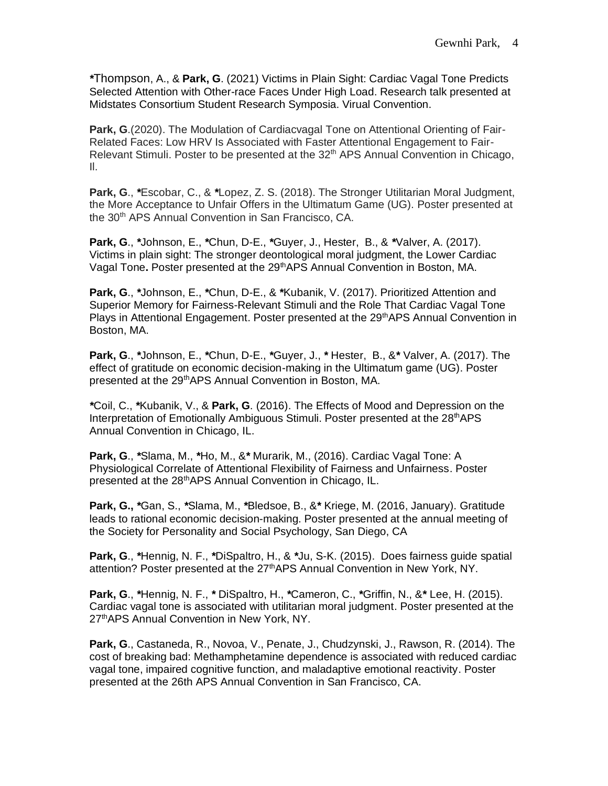*\**Thompson, A., & **Park, G**. (2021) Victims in Plain Sight: Cardiac Vagal Tone Predicts Selected Attention with Other-race Faces Under High Load. Research talk presented at Midstates Consortium Student Research Symposia. Virual Convention.

**Park, G**.(2020). The Modulation of Cardiacvagal Tone on Attentional Orienting of Fair-Related Faces: Low HRV Is Associated with Faster Attentional Engagement to Fair-Relevant Stimuli. Poster to be presented at the  $32<sup>th</sup>$  APS Annual Convention in Chicago, Il.

**Park, G**., *\**Escobar, C., & *\**Lopez, Z. S. (2018). The Stronger Utilitarian Moral Judgment, the More Acceptance to Unfair Offers in the Ultimatum Game (UG). Poster presented at the 30<sup>th</sup> APS Annual Convention in San Francisco, CA.

**Park, G**., *\**Johnson, E., *\**Chun, D-E., *\**Guyer, J., Hester, B., & *\**Valver, A. (2017). Victims in plain sight: The stronger deontological moral judgment, the Lower Cardiac Vagal Tone**.** Poster presented at the 29thAPS Annual Convention in Boston, MA.

**Park, G**., *\**Johnson, E., *\**Chun, D-E., & *\**Kubanik, V. (2017). Prioritized Attention and Superior Memory for Fairness-Relevant Stimuli and the Role That Cardiac Vagal Tone Plays in Attentional Engagement. Poster presented at the 29<sup>th</sup> APS Annual Convention in Boston, MA.

**Park, G**., *\**Johnson, E., *\**Chun, D-E., *\**Guyer, J., *\** Hester, B., &*\** Valver, A. (2017). The effect of gratitude on economic decision-making in the Ultimatum game (UG). Poster presented at the 29thAPS Annual Convention in Boston, MA.

*\**Coil, C., *\**Kubanik, V., & **Park, G**. (2016). The Effects of Mood and Depression on the Interpretation of Emotionally Ambiguous Stimuli. Poster presented at the  $28<sup>th</sup>APS$ Annual Convention in Chicago, IL.

**Park, G**., *\**Slama, M., *\**Ho, M., &*\** Murarik, M., (2016). Cardiac Vagal Tone: A Physiological Correlate of Attentional Flexibility of Fairness and Unfairness. Poster presented at the 28<sup>th</sup> APS Annual Convention in Chicago, IL.

**Park, G.,** *\**Gan, S., *\**Slama, M., *\**Bledsoe, B., &*\** Kriege, M. (2016, January). Gratitude leads to rational economic decision-making. Poster presented at the annual meeting of the Society for Personality and Social Psychology, San Diego, CA

**Park, G**., *\**Hennig, N. F., *\**DiSpaltro, H., & *\**Ju, S-K. (2015). Does fairness guide spatial attention? Poster presented at the 27<sup>th</sup> APS Annual Convention in New York, NY.

**Park, G**., *\**Hennig, N. F., *\** DiSpaltro, H., *\**Cameron, C., *\**Griffin, N., &*\** Lee, H. (2015). Cardiac vagal tone is associated with utilitarian moral judgment. Poster presented at the 27<sup>th</sup>APS Annual Convention in New York, NY.

**Park, G**., Castaneda, R., Novoa, V., Penate, J., Chudzynski, J., Rawson, R. (2014). The cost of breaking bad: Methamphetamine dependence is associated with reduced cardiac vagal tone, impaired cognitive function, and maladaptive emotional reactivity. Poster presented at the 26th APS Annual Convention in San Francisco, CA.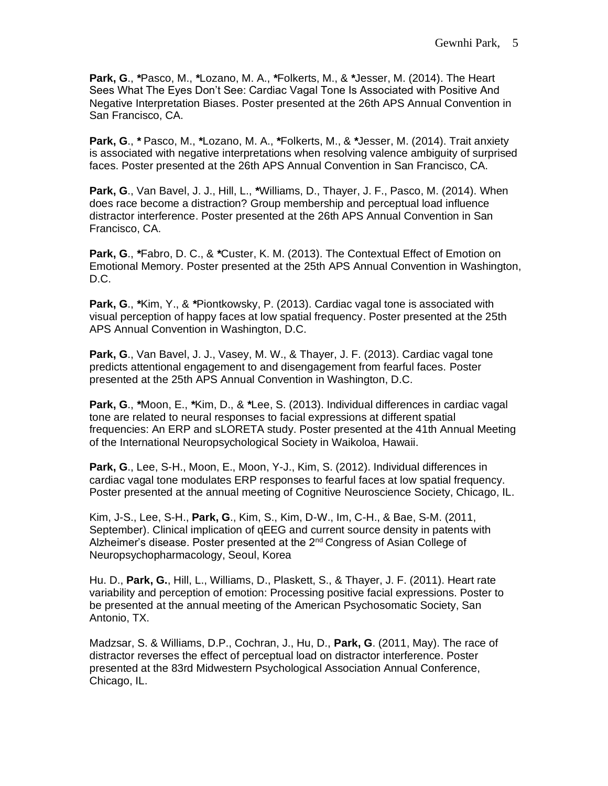**Park, G**., *\**Pasco, M., *\**Lozano, M. A., *\**Folkerts, M., & *\**Jesser, M. (2014). The Heart Sees What The Eyes Don't See: Cardiac Vagal Tone Is Associated with Positive And Negative Interpretation Biases. Poster presented at the 26th APS Annual Convention in San Francisco, CA.

**Park, G**., *\** Pasco, M., *\**Lozano, M. A., *\**Folkerts, M., & *\**Jesser, M. (2014). Trait anxiety is associated with negative interpretations when resolving valence ambiguity of surprised faces. Poster presented at the 26th APS Annual Convention in San Francisco, CA.

**Park, G**., Van Bavel, J. J., Hill, L., *\**Williams, D., Thayer, J. F., Pasco, M. (2014). When does race become a distraction? Group membership and perceptual load influence distractor interference. Poster presented at the 26th APS Annual Convention in San Francisco, CA.

**Park, G**., *\**Fabro, D. C., & *\**Custer, K. M. (2013). The Contextual Effect of Emotion on Emotional Memory. Poster presented at the 25th APS Annual Convention in Washington, D.C.

**Park, G**., *\**Kim, Y., & *\**Piontkowsky, P. (2013). Cardiac vagal tone is associated with visual perception of happy faces at low spatial frequency. Poster presented at the 25th APS Annual Convention in Washington, D.C.

**Park, G**., Van Bavel, J. J., Vasey, M. W., & Thayer, J. F. (2013). Cardiac vagal tone predicts attentional engagement to and disengagement from fearful faces. Poster presented at the 25th APS Annual Convention in Washington, D.C.

**Park, G**., *\**Moon, E., *\**Kim, D., & *\**Lee, S. (2013). Individual differences in cardiac vagal tone are related to neural responses to facial expressions at different spatial frequencies: An ERP and sLORETA study. Poster presented at the 41th Annual Meeting of the International Neuropsychological Society in Waikoloa, Hawaii.

**Park, G**., Lee, S-H., Moon, E., Moon, Y-J., Kim, S. (2012). Individual differences in cardiac vagal tone modulates ERP responses to fearful faces at low spatial frequency. Poster presented at the annual meeting of Cognitive Neuroscience Society, Chicago, IL.

Kim, J-S., Lee, S-H., **Park, G**., Kim, S., Kim, D-W., Im, C-H., & Bae, S-M. (2011, September). Clinical implication of qEEG and current source density in patents with Alzheimer's disease. Poster presented at the 2<sup>nd</sup> Congress of Asian College of Neuropsychopharmacology, Seoul, Korea

Hu. D., **Park, G.**, Hill, L., Williams, D., Plaskett, S., & Thayer, J. F. (2011). Heart rate variability and perception of emotion: Processing positive facial expressions. Poster to be presented at the annual meeting of the American Psychosomatic Society, San Antonio, TX.

Madzsar, S. & Williams, D.P., Cochran, J., Hu, D., **Park, G**. (2011, May). The race of distractor reverses the effect of perceptual load on distractor interference. Poster presented at the 83rd Midwestern Psychological Association Annual Conference, Chicago, IL.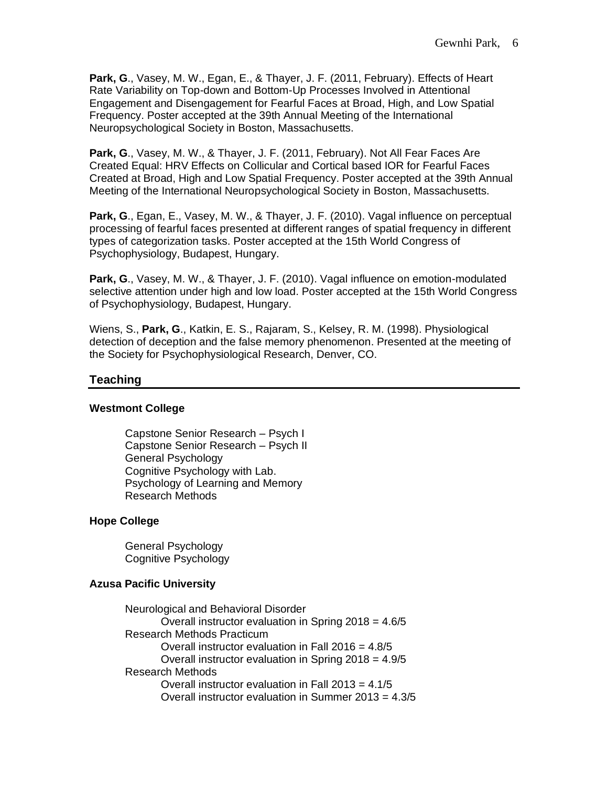**Park, G**., Vasey, M. W., Egan, E., & Thayer, J. F. (2011, February). Effects of Heart Rate Variability on Top-down and Bottom-Up Processes Involved in Attentional Engagement and Disengagement for Fearful Faces at Broad, High, and Low Spatial Frequency. Poster accepted at the 39th Annual Meeting of the International Neuropsychological Society in Boston, Massachusetts.

**Park, G**., Vasey, M. W., & Thayer, J. F. (2011, February). Not All Fear Faces Are Created Equal: HRV Effects on Collicular and Cortical based IOR for Fearful Faces Created at Broad, High and Low Spatial Frequency. Poster accepted at the 39th Annual Meeting of the International Neuropsychological Society in Boston, Massachusetts.

**Park, G**., Egan, E., Vasey, M. W., & Thayer, J. F. (2010). Vagal influence on perceptual processing of fearful faces presented at different ranges of spatial frequency in different types of categorization tasks. Poster accepted at the 15th World Congress of Psychophysiology, Budapest, Hungary.

**Park, G**., Vasey, M. W., & Thayer, J. F. (2010). Vagal influence on emotion-modulated selective attention under high and low load. Poster accepted at the 15th World Congress of Psychophysiology, Budapest, Hungary.

Wiens, S., **Park, G**., Katkin, E. S., Rajaram, S., Kelsey, R. M. (1998). Physiological detection of deception and the false memory phenomenon. Presented at the meeting of the Society for Psychophysiological Research, Denver, CO.

# **Teaching**

## **Westmont College**

Capstone Senior Research – Psych I Capstone Senior Research – Psych II General Psychology Cognitive Psychology with Lab. Psychology of Learning and Memory Research Methods

#### **Hope College**

General Psychology Cognitive Psychology

## **Azusa Pacific University**

Neurological and Behavioral Disorder Overall instructor evaluation in Spring 2018 = 4.6/5 Research Methods Practicum Overall instructor evaluation in Fall 2016 = 4.8/5 Overall instructor evaluation in Spring 2018 = 4.9/5 Research Methods Overall instructor evaluation in Fall 2013 = 4.1/5 Overall instructor evaluation in Summer 2013 = 4.3/5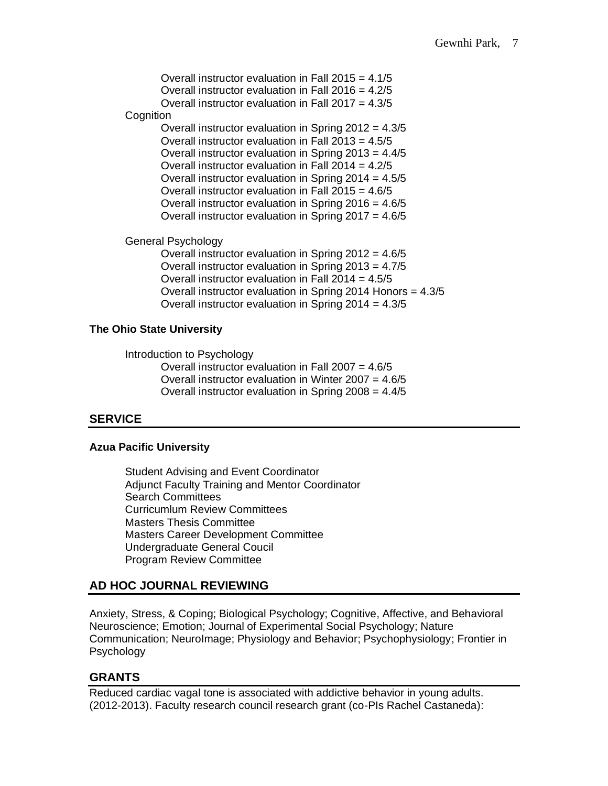Overall instructor evaluation in Fall 2015 = 4.1/5 Overall instructor evaluation in Fall 2016 = 4.2/5 Overall instructor evaluation in Fall 2017 = 4.3/5 **Cognition** Overall instructor evaluation in Spring 2012 = 4.3/5

Overall instructor evaluation in Fall 2013 = 4.5/5 Overall instructor evaluation in Spring 2013 = 4.4/5 Overall instructor evaluation in Fall 2014 =  $4.2/5$ Overall instructor evaluation in Spring  $2014 = 4.5/5$ Overall instructor evaluation in Fall 2015 = 4.6/5 Overall instructor evaluation in Spring 2016 = 4.6/5 Overall instructor evaluation in Spring 2017 = 4.6/5

General Psychology

Overall instructor evaluation in Spring 2012 = 4.6/5 Overall instructor evaluation in Spring 2013 = 4.7/5 Overall instructor evaluation in Fall 2014 = 4.5/5 Overall instructor evaluation in Spring 2014 Honors = 4.3/5 Overall instructor evaluation in Spring 2014 = 4.3/5

## **The Ohio State University**

Introduction to Psychology

Overall instructor evaluation in Fall 2007 = 4.6/5 Overall instructor evaluation in Winter  $2007 = 4.6/5$ Overall instructor evaluation in Spring 2008 = 4.4/5

# **SERVICE**

## **Azua Pacific University**

Student Advising and Event Coordinator Adjunct Faculty Training and Mentor Coordinator Search Committees Curricumlum Review Committees Masters Thesis Committee Masters Career Development Committee Undergraduate General Coucil Program Review Committee

# **AD HOC JOURNAL REVIEWING**

Anxiety, Stress, & Coping; Biological Psychology; Cognitive, Affective, and Behavioral Neuroscience; Emotion; Journal of Experimental Social Psychology; Nature Communication; NeuroImage; Physiology and Behavior; Psychophysiology; Frontier in **Psychology** 

# **GRANTS**

Reduced cardiac vagal tone is associated with addictive behavior in young adults. (2012-2013). Faculty research council research grant (co-PIs Rachel Castaneda):